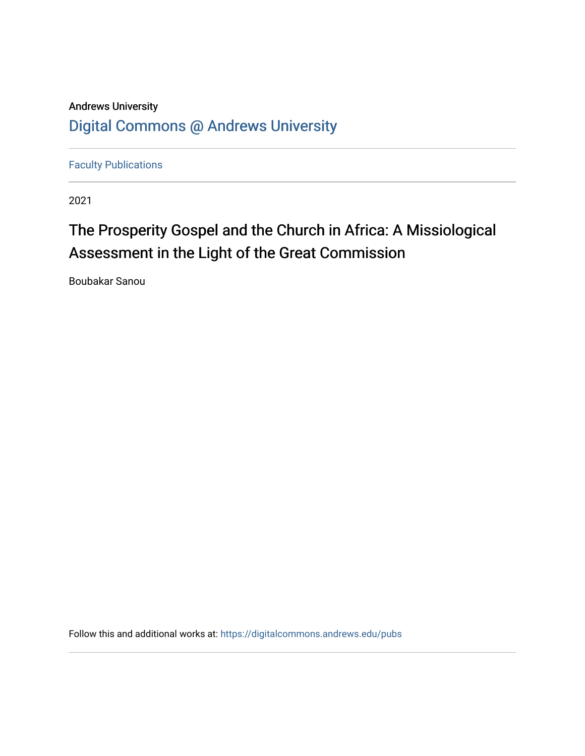## Andrews University [Digital Commons @ Andrews University](https://digitalcommons.andrews.edu/)

[Faculty Publications](https://digitalcommons.andrews.edu/pubs)

2021

# The Prosperity Gospel and the Church in Africa: A Missiological Assessment in the Light of the Great Commission

Boubakar Sanou

Follow this and additional works at: [https://digitalcommons.andrews.edu/pubs](https://digitalcommons.andrews.edu/pubs?utm_source=digitalcommons.andrews.edu%2Fpubs%2F3426&utm_medium=PDF&utm_campaign=PDFCoverPages)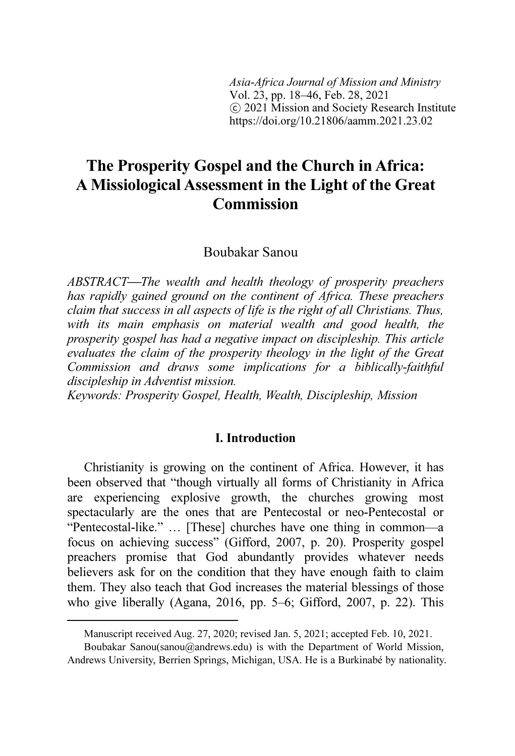Asia-Africa Journal of Mission and Ministry Vol. 23, pp. 18–46, Feb. 28, 2021 ⓒ 2021 Mission and Society Research Institute https://doi.org/10.21806/aamm.2021.23.02

### The Prosperity Gospel and the Church in Africa: A Missiological Assessment in the Light of the Great **Commission**

Boubakar Sanou<sup>2</sup><sup>3</sup>

ABSTRACT—The wealth and health theology of prosperity preachers has rapidly gained ground on the continent of Africa. These preachers claim that success in all aspects of life is the right of all Christians. Thus, with its main emphasis on material wealth and good health, the prosperity gospel has had a negative impact on discipleship. This article evaluates the claim of the prosperity theology in the light of the Great Commission and draws some implications for a biblically-faithful discipleship in Adventist mission.

Keywords: Prosperity Gospel, Health, Wealth, Discipleship, Mission

#### I. Introduction

Christianity is growing on the continent of Africa. However, it has been observed that "though virtually all forms of Christianity in Africa are experiencing explosive growth, the churches growing most spectacularly are the ones that are Pentecostal or neo-Pentecostal or "Pentecostal-like." … [These] churches have one thing in common—a focus on achieving success" (Gifford, 2007, p. 20). Prosperity gospel preachers promise that God abundantly provides whatever needs believers ask for on the condition that they have enough faith to claim them. They also teach that God increases the material blessings of those who give liberally (Agana, 2016, pp. 5–6; Gifford, 2007, p. 22). This

Manuscript received Aug. 27, 2020; revised Jan. 5, 2021; accepted Feb. 10, 2021.

Boubakar Sanou(sanou@andrews.edu) is with the Department of World Mission, Andrews University, Berrien Springs, Michigan, USA. He is a Burkinabé by nationality.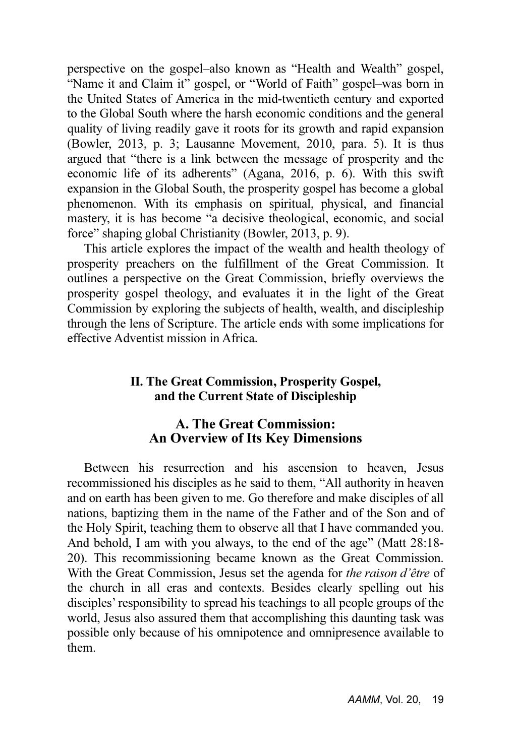perspective on the gospel–also known as "Health and Wealth" gospel, "Name it and Claim it" gospel, or "World of Faith" gospel–was born in the United States of America in the mid-twentieth century and exported to the Global South where the harsh economic conditions and the general quality of living readily gave it roots for its growth and rapid expansion (Bowler, 2013, p. 3; Lausanne Movement, 2010, para. 5). It is thus argued that "there is a link between the message of prosperity and the economic life of its adherents" (Agana, 2016, p. 6). With this swift expansion in the Global South, the prosperity gospel has become a global phenomenon. With its emphasis on spiritual, physical, and financial mastery, it is has become "a decisive theological, economic, and social force" shaping global Christianity (Bowler, 2013, p. 9).

This article explores the impact of the wealth and health theology of prosperity preachers on the fulfillment of the Great Commission. It outlines a perspective on the Great Commission, briefly overviews the prosperity gospel theology, and evaluates it in the light of the Great Commission by exploring the subjects of health, wealth, and discipleship through the lens of Scripture. The article ends with some implications for effective Adventist mission in Africa.

#### II. The Great Commission, Prosperity Gospel, and the Current State of Discipleship

#### A. The Great Commission: An Overview of Its Key Dimensions

Between his resurrection and his ascension to heaven, Jesus recommissioned his disciples as he said to them, "All authority in heaven and on earth has been given to me. Go therefore and make disciples of all nations, baptizing them in the name of the Father and of the Son and of the Holy Spirit, teaching them to observe all that I have commanded you. And behold, I am with you always, to the end of the age" (Matt 28:18- 20). This recommissioning became known as the Great Commission. With the Great Commission, Jesus set the agenda for the raison d'être of the church in all eras and contexts. Besides clearly spelling out his disciples' responsibility to spread his teachings to all people groups of the world, Jesus also assured them that accomplishing this daunting task was possible only because of his omnipotence and omnipresence available to them.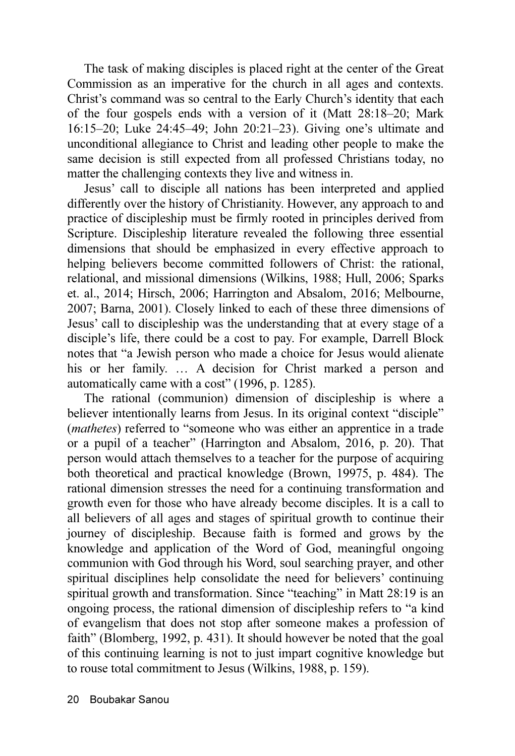The task of making disciples is placed right at the center of the Great Commission as an imperative for the church in all ages and contexts. Christ's command was so central to the Early Church's identity that each of the four gospels ends with a version of it (Matt 28:18–20; Mark 16:15–20; Luke 24:45–49; John 20:21–23). Giving one's ultimate and unconditional allegiance to Christ and leading other people to make the same decision is still expected from all professed Christians today, no matter the challenging contexts they live and witness in.

Jesus' call to disciple all nations has been interpreted and applied differently over the history of Christianity. However, any approach to and practice of discipleship must be firmly rooted in principles derived from Scripture. Discipleship literature revealed the following three essential dimensions that should be emphasized in every effective approach to helping believers become committed followers of Christ: the rational, relational, and missional dimensions (Wilkins, 1988; Hull, 2006; Sparks et. al., 2014; Hirsch, 2006; Harrington and Absalom, 2016; Melbourne, 2007; Barna, 2001). Closely linked to each of these three dimensions of Jesus' call to discipleship was the understanding that at every stage of a disciple's life, there could be a cost to pay. For example, Darrell Block notes that "a Jewish person who made a choice for Jesus would alienate his or her family. ... A decision for Christ marked a person and automatically came with a cost" (1996, p. 1285).

The rational (communion) dimension of discipleship is where a believer intentionally learns from Jesus. In its original context "disciple" (mathetes) referred to "someone who was either an apprentice in a trade or a pupil of a teacher" (Harrington and Absalom, 2016, p. 20). That person would attach themselves to a teacher for the purpose of acquiring both theoretical and practical knowledge (Brown, 19975, p. 484). The rational dimension stresses the need for a continuing transformation and growth even for those who have already become disciples. It is a call to all believers of all ages and stages of spiritual growth to continue their journey of discipleship. Because faith is formed and grows by the knowledge and application of the Word of God, meaningful ongoing communion with God through his Word, soul searching prayer, and other spiritual disciplines help consolidate the need for believers' continuing spiritual growth and transformation. Since "teaching" in Matt 28:19 is an ongoing process, the rational dimension of discipleship refers to "a kind of evangelism that does not stop after someone makes a profession of faith" (Blomberg, 1992, p. 431). It should however be noted that the goal of this continuing learning is not to just impart cognitive knowledge but to rouse total commitment to Jesus (Wilkins, 1988, p. 159).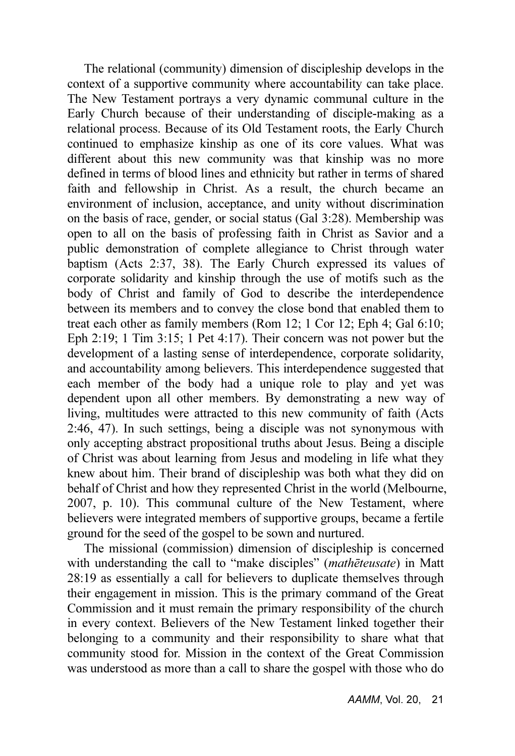The relational (community) dimension of discipleship develops in the context of a supportive community where accountability can take place. The New Testament portrays a very dynamic communal culture in the Early Church because of their understanding of disciple-making as a relational process. Because of its Old Testament roots, the Early Church continued to emphasize kinship as one of its core values. What was different about this new community was that kinship was no more defined in terms of blood lines and ethnicity but rather in terms of shared faith and fellowship in Christ. As a result, the church became an environment of inclusion, acceptance, and unity without discrimination on the basis of race, gender, or social status (Gal 3:28). Membership was open to all on the basis of professing faith in Christ as Savior and a public demonstration of complete allegiance to Christ through water baptism (Acts 2:37, 38). The Early Church expressed its values of corporate solidarity and kinship through the use of motifs such as the body of Christ and family of God to describe the interdependence between its members and to convey the close bond that enabled them to treat each other as family members (Rom 12; 1 Cor 12; Eph 4; Gal 6:10; Eph 2:19; 1 Tim 3:15; 1 Pet 4:17). Their concern was not power but the development of a lasting sense of interdependence, corporate solidarity, and accountability among believers. This interdependence suggested that each member of the body had a unique role to play and yet was dependent upon all other members. By demonstrating a new way of living, multitudes were attracted to this new community of faith (Acts 2:46, 47). In such settings, being a disciple was not synonymous with only accepting abstract propositional truths about Jesus. Being a disciple of Christ was about learning from Jesus and modeling in life what they knew about him. Their brand of discipleship was both what they did on behalf of Christ and how they represented Christ in the world (Melbourne, 2007, p. 10). This communal culture of the New Testament, where believers were integrated members of supportive groups, became a fertile ground for the seed of the gospel to be sown and nurtured.

The missional (commission) dimension of discipleship is concerned with understanding the call to "make disciples" (mathēteusate) in Matt 28:19 as essentially a call for believers to duplicate themselves through their engagement in mission. This is the primary command of the Great Commission and it must remain the primary responsibility of the church in every context. Believers of the New Testament linked together their belonging to a community and their responsibility to share what that community stood for. Mission in the context of the Great Commission was understood as more than a call to share the gospel with those who do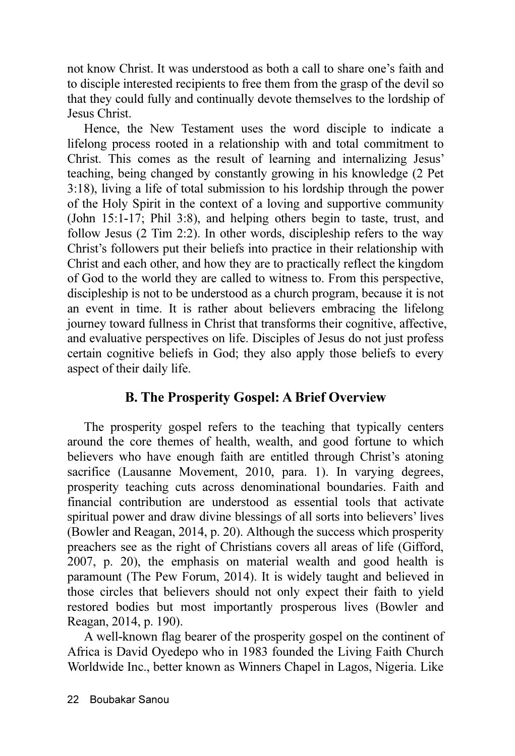not know Christ. It was understood as both a call to share one's faith and to disciple interested recipients to free them from the grasp of the devil so that they could fully and continually devote themselves to the lordship of Jesus Christ.

Hence, the New Testament uses the word disciple to indicate a lifelong process rooted in a relationship with and total commitment to Christ. This comes as the result of learning and internalizing Jesus' teaching, being changed by constantly growing in his knowledge (2 Pet 3:18), living a life of total submission to his lordship through the power of the Holy Spirit in the context of a loving and supportive community (John 15:1-17; Phil 3:8), and helping others begin to taste, trust, and follow Jesus (2 Tim 2:2). In other words, discipleship refers to the way Christ's followers put their beliefs into practice in their relationship with Christ and each other, and how they are to practically reflect the kingdom of God to the world they are called to witness to. From this perspective, discipleship is not to be understood as a church program, because it is not an event in time. It is rather about believers embracing the lifelong journey toward fullness in Christ that transforms their cognitive, affective, and evaluative perspectives on life. Disciples of Jesus do not just profess certain cognitive beliefs in God; they also apply those beliefs to every aspect of their daily life.

#### B. The Prosperity Gospel: A Brief Overview

The prosperity gospel refers to the teaching that typically centers around the core themes of health, wealth, and good fortune to which believers who have enough faith are entitled through Christ's atoning sacrifice (Lausanne Movement, 2010, para. 1). In varying degrees, prosperity teaching cuts across denominational boundaries. Faith and financial contribution are understood as essential tools that activate spiritual power and draw divine blessings of all sorts into believers' lives (Bowler and Reagan, 2014, p. 20). Although the success which prosperity preachers see as the right of Christians covers all areas of life (Gifford, 2007, p. 20), the emphasis on material wealth and good health is paramount (The Pew Forum, 2014). It is widely taught and believed in those circles that believers should not only expect their faith to yield restored bodies but most importantly prosperous lives (Bowler and Reagan, 2014, p. 190).

A well-known flag bearer of the prosperity gospel on the continent of Africa is David Oyedepo who in 1983 founded the Living Faith Church Worldwide Inc., better known as Winners Chapel in Lagos, Nigeria. Like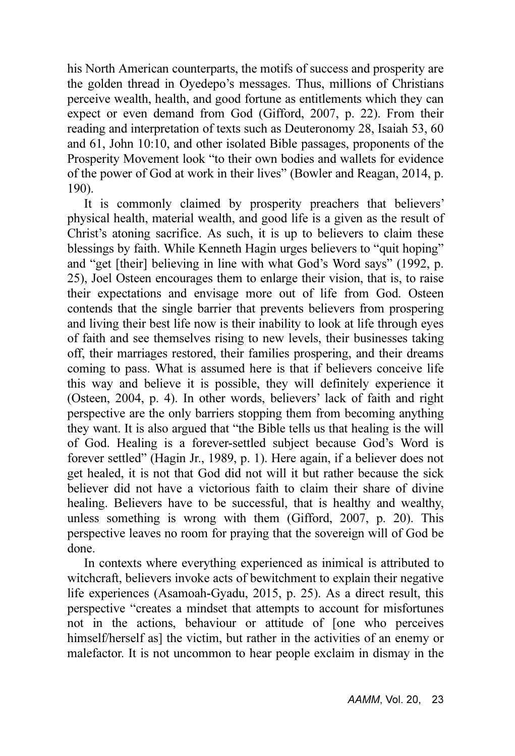his North American counterparts, the motifs of success and prosperity are the golden thread in Oyedepo's messages. Thus, millions of Christians perceive wealth, health, and good fortune as entitlements which they can expect or even demand from God (Gifford, 2007, p. 22). From their reading and interpretation of texts such as Deuteronomy 28, Isaiah 53, 60 and 61, John 10:10, and other isolated Bible passages, proponents of the Prosperity Movement look "to their own bodies and wallets for evidence of the power of God at work in their lives" (Bowler and Reagan, 2014, p. 190).

It is commonly claimed by prosperity preachers that believers' physical health, material wealth, and good life is a given as the result of Christ's atoning sacrifice. As such, it is up to believers to claim these blessings by faith. While Kenneth Hagin urges believers to "quit hoping" and "get [their] believing in line with what God's Word says" (1992, p. 25), Joel Osteen encourages them to enlarge their vision, that is, to raise their expectations and envisage more out of life from God. Osteen contends that the single barrier that prevents believers from prospering and living their best life now is their inability to look at life through eyes of faith and see themselves rising to new levels, their businesses taking off, their marriages restored, their families prospering, and their dreams coming to pass. What is assumed here is that if believers conceive life this way and believe it is possible, they will definitely experience it (Osteen, 2004, p. 4). In other words, believers' lack of faith and right perspective are the only barriers stopping them from becoming anything they want. It is also argued that "the Bible tells us that healing is the will of God. Healing is a forever-settled subject because God's Word is forever settled" (Hagin Jr., 1989, p. 1). Here again, if a believer does not get healed, it is not that God did not will it but rather because the sick believer did not have a victorious faith to claim their share of divine healing. Believers have to be successful, that is healthy and wealthy, unless something is wrong with them (Gifford, 2007, p. 20). This perspective leaves no room for praying that the sovereign will of God be done.

In contexts where everything experienced as inimical is attributed to witchcraft, believers invoke acts of bewitchment to explain their negative life experiences (Asamoah-Gyadu, 2015, p. 25). As a direct result, this perspective "creates a mindset that attempts to account for misfortunes not in the actions, behaviour or attitude of [one who perceives himself/herself as] the victim, but rather in the activities of an enemy or malefactor. It is not uncommon to hear people exclaim in dismay in the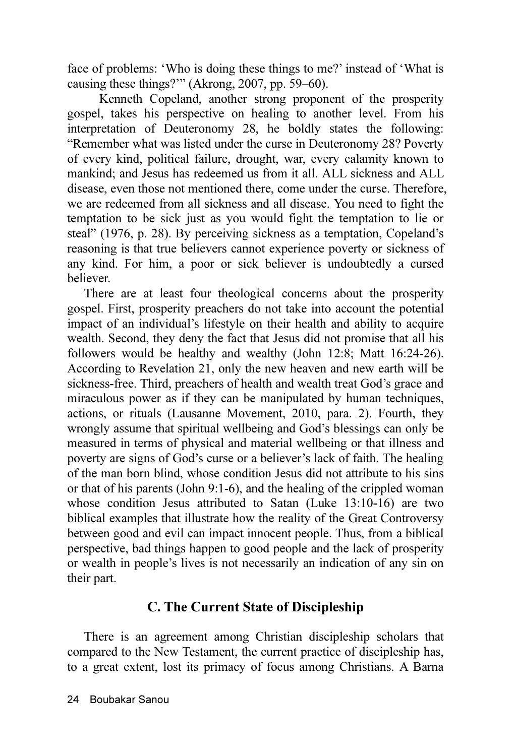face of problems: 'Who is doing these things to me?' instead of 'What is causing these things?'" (Akrong, 2007, pp. 59–60).

 Kenneth Copeland, another strong proponent of the prosperity gospel, takes his perspective on healing to another level. From his interpretation of Deuteronomy 28, he boldly states the following: "Remember what was listed under the curse in Deuteronomy 28? Poverty of every kind, political failure, drought, war, every calamity known to mankind; and Jesus has redeemed us from it all. ALL sickness and ALL disease, even those not mentioned there, come under the curse. Therefore, we are redeemed from all sickness and all disease. You need to fight the temptation to be sick just as you would fight the temptation to lie or steal" (1976, p. 28). By perceiving sickness as a temptation, Copeland's reasoning is that true believers cannot experience poverty or sickness of any kind. For him, a poor or sick believer is undoubtedly a cursed believer.

There are at least four theological concerns about the prosperity gospel. First, prosperity preachers do not take into account the potential impact of an individual's lifestyle on their health and ability to acquire wealth. Second, they deny the fact that Jesus did not promise that all his followers would be healthy and wealthy (John 12:8; Matt 16:24-26). According to Revelation 21, only the new heaven and new earth will be sickness-free. Third, preachers of health and wealth treat God's grace and miraculous power as if they can be manipulated by human techniques, actions, or rituals (Lausanne Movement, 2010, para. 2). Fourth, they wrongly assume that spiritual wellbeing and God's blessings can only be measured in terms of physical and material wellbeing or that illness and poverty are signs of God's curse or a believer's lack of faith. The healing of the man born blind, whose condition Jesus did not attribute to his sins or that of his parents (John 9:1-6), and the healing of the crippled woman whose condition Jesus attributed to Satan (Luke 13:10-16) are two biblical examples that illustrate how the reality of the Great Controversy between good and evil can impact innocent people. Thus, from a biblical perspective, bad things happen to good people and the lack of prosperity or wealth in people's lives is not necessarily an indication of any sin on their part.

#### C. The Current State of Discipleship

There is an agreement among Christian discipleship scholars that compared to the New Testament, the current practice of discipleship has, to a great extent, lost its primacy of focus among Christians. A Barna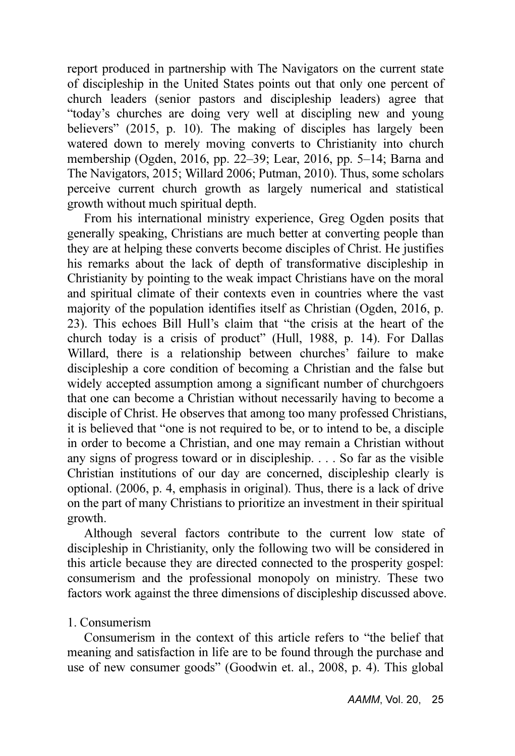report produced in partnership with The Navigators on the current state of discipleship in the United States points out that only one percent of church leaders (senior pastors and discipleship leaders) agree that "today's churches are doing very well at discipling new and young believers" (2015, p. 10). The making of disciples has largely been watered down to merely moving converts to Christianity into church membership (Ogden, 2016, pp. 22–39; Lear, 2016, pp. 5–14; Barna and The Navigators, 2015; Willard 2006; Putman, 2010). Thus, some scholars perceive current church growth as largely numerical and statistical growth without much spiritual depth.

From his international ministry experience, Greg Ogden posits that generally speaking, Christians are much better at converting people than they are at helping these converts become disciples of Christ. He justifies his remarks about the lack of depth of transformative discipleship in Christianity by pointing to the weak impact Christians have on the moral and spiritual climate of their contexts even in countries where the vast majority of the population identifies itself as Christian (Ogden, 2016, p. 23). This echoes Bill Hull's claim that "the crisis at the heart of the church today is a crisis of product" (Hull, 1988, p. 14). For Dallas Willard, there is a relationship between churches' failure to make discipleship a core condition of becoming a Christian and the false but widely accepted assumption among a significant number of churchgoers that one can become a Christian without necessarily having to become a disciple of Christ. He observes that among too many professed Christians, it is believed that "one is not required to be, or to intend to be, a disciple in order to become a Christian, and one may remain a Christian without any signs of progress toward or in discipleship. . . . So far as the visible Christian institutions of our day are concerned, discipleship clearly is optional. (2006, p. 4, emphasis in original). Thus, there is a lack of drive on the part of many Christians to prioritize an investment in their spiritual growth.

Although several factors contribute to the current low state of discipleship in Christianity, only the following two will be considered in this article because they are directed connected to the prosperity gospel: consumerism and the professional monopoly on ministry. These two factors work against the three dimensions of discipleship discussed above.

#### 1. Consumerism

Consumerism in the context of this article refers to "the belief that meaning and satisfaction in life are to be found through the purchase and use of new consumer goods" (Goodwin et. al., 2008, p. 4). This global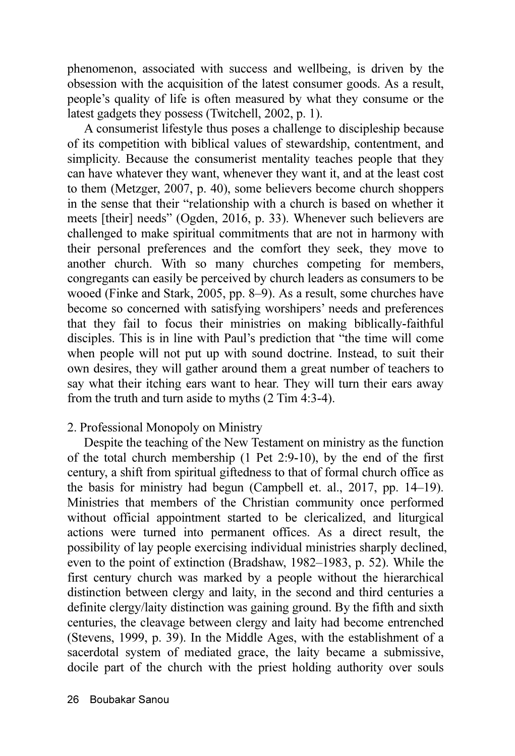phenomenon, associated with success and wellbeing, is driven by the obsession with the acquisition of the latest consumer goods. As a result, people's quality of life is often measured by what they consume or the latest gadgets they possess (Twitchell, 2002, p. 1).

A consumerist lifestyle thus poses a challenge to discipleship because of its competition with biblical values of stewardship, contentment, and simplicity. Because the consumerist mentality teaches people that they can have whatever they want, whenever they want it, and at the least cost to them (Metzger, 2007, p. 40), some believers become church shoppers in the sense that their "relationship with a church is based on whether it meets [their] needs" (Ogden, 2016, p. 33). Whenever such believers are challenged to make spiritual commitments that are not in harmony with their personal preferences and the comfort they seek, they move to another church. With so many churches competing for members, congregants can easily be perceived by church leaders as consumers to be wooed (Finke and Stark, 2005, pp. 8–9). As a result, some churches have become so concerned with satisfying worshipers' needs and preferences that they fail to focus their ministries on making biblically-faithful disciples. This is in line with Paul's prediction that "the time will come when people will not put up with sound doctrine. Instead, to suit their own desires, they will gather around them a great number of teachers to say what their itching ears want to hear. They will turn their ears away from the truth and turn aside to myths (2 Tim 4:3-4).

#### 2. Professional Monopoly on Ministry

Despite the teaching of the New Testament on ministry as the function of the total church membership (1 Pet 2:9-10), by the end of the first century, a shift from spiritual giftedness to that of formal church office as the basis for ministry had begun (Campbell et. al., 2017, pp. 14–19). Ministries that members of the Christian community once performed without official appointment started to be clericalized, and liturgical actions were turned into permanent offices. As a direct result, the possibility of lay people exercising individual ministries sharply declined, even to the point of extinction (Bradshaw, 1982–1983, p. 52). While the first century church was marked by a people without the hierarchical distinction between clergy and laity, in the second and third centuries a definite clergy/laity distinction was gaining ground. By the fifth and sixth centuries, the cleavage between clergy and laity had become entrenched (Stevens, 1999, p. 39). In the Middle Ages, with the establishment of a sacerdotal system of mediated grace, the laity became a submissive, docile part of the church with the priest holding authority over souls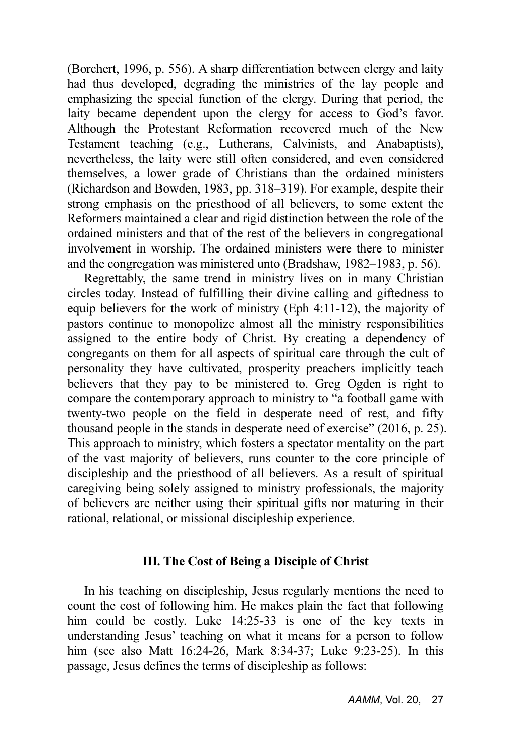(Borchert, 1996, p. 556). A sharp differentiation between clergy and laity had thus developed, degrading the ministries of the lay people and emphasizing the special function of the clergy. During that period, the laity became dependent upon the clergy for access to God's favor. Although the Protestant Reformation recovered much of the New Testament teaching (e.g., Lutherans, Calvinists, and Anabaptists), nevertheless, the laity were still often considered, and even considered themselves, a lower grade of Christians than the ordained ministers (Richardson and Bowden, 1983, pp. 318–319). For example, despite their strong emphasis on the priesthood of all believers, to some extent the Reformers maintained a clear and rigid distinction between the role of the ordained ministers and that of the rest of the believers in congregational involvement in worship. The ordained ministers were there to minister and the congregation was ministered unto (Bradshaw, 1982–1983, p. 56).

Regrettably, the same trend in ministry lives on in many Christian circles today. Instead of fulfilling their divine calling and giftedness to equip believers for the work of ministry (Eph 4:11-12), the majority of pastors continue to monopolize almost all the ministry responsibilities assigned to the entire body of Christ. By creating a dependency of congregants on them for all aspects of spiritual care through the cult of personality they have cultivated, prosperity preachers implicitly teach believers that they pay to be ministered to. Greg Ogden is right to compare the contemporary approach to ministry to "a football game with twenty-two people on the field in desperate need of rest, and fifty thousand people in the stands in desperate need of exercise" (2016, p. 25). This approach to ministry, which fosters a spectator mentality on the part of the vast majority of believers, runs counter to the core principle of discipleship and the priesthood of all believers. As a result of spiritual caregiving being solely assigned to ministry professionals, the majority of believers are neither using their spiritual gifts nor maturing in their rational, relational, or missional discipleship experience.

#### III. The Cost of Being a Disciple of Christ

In his teaching on discipleship, Jesus regularly mentions the need to count the cost of following him. He makes plain the fact that following him could be costly. Luke 14:25-33 is one of the key texts in understanding Jesus' teaching on what it means for a person to follow him (see also Matt 16:24-26, Mark 8:34-37; Luke 9:23-25). In this passage, Jesus defines the terms of discipleship as follows: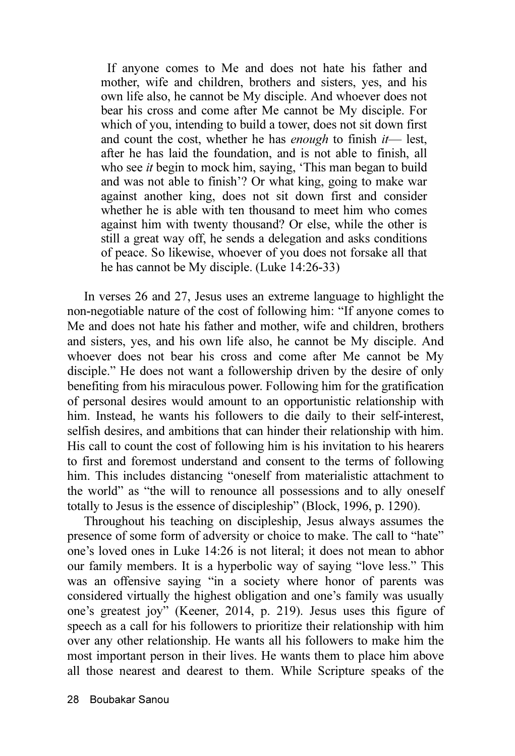If anyone comes to Me and does not hate his father and mother, wife and children, brothers and sisters, yes, and his own life also, he cannot be My disciple. And whoever does not bear his cross and come after Me cannot be My disciple. For which of you, intending to build a tower, does not sit down first and count the cost, whether he has *enough* to finish  $it$ — lest, after he has laid the foundation, and is not able to finish, all who see *it* begin to mock him, saying, 'This man began to build and was not able to finish'? Or what king, going to make war against another king, does not sit down first and consider whether he is able with ten thousand to meet him who comes against him with twenty thousand? Or else, while the other is still a great way off, he sends a delegation and asks conditions of peace. So likewise, whoever of you does not forsake all that he has cannot be My disciple. (Luke 14:26-33)

In verses 26 and 27, Jesus uses an extreme language to highlight the non-negotiable nature of the cost of following him: "If anyone comes to Me and does not hate his father and mother, wife and children, brothers and sisters, yes, and his own life also, he cannot be My disciple. And whoever does not bear his cross and come after Me cannot be My disciple." He does not want a followership driven by the desire of only benefiting from his miraculous power. Following him for the gratification of personal desires would amount to an opportunistic relationship with him. Instead, he wants his followers to die daily to their self-interest, selfish desires, and ambitions that can hinder their relationship with him. His call to count the cost of following him is his invitation to his hearers to first and foremost understand and consent to the terms of following him. This includes distancing "oneself from materialistic attachment to the world" as "the will to renounce all possessions and to ally oneself totally to Jesus is the essence of discipleship" (Block, 1996, p. 1290).

Throughout his teaching on discipleship, Jesus always assumes the presence of some form of adversity or choice to make. The call to "hate" one's loved ones in Luke 14:26 is not literal; it does not mean to abhor our family members. It is a hyperbolic way of saying "love less." This was an offensive saying "in a society where honor of parents was considered virtually the highest obligation and one's family was usually one's greatest joy" (Keener, 2014, p. 219). Jesus uses this figure of speech as a call for his followers to prioritize their relationship with him over any other relationship. He wants all his followers to make him the most important person in their lives. He wants them to place him above all those nearest and dearest to them. While Scripture speaks of the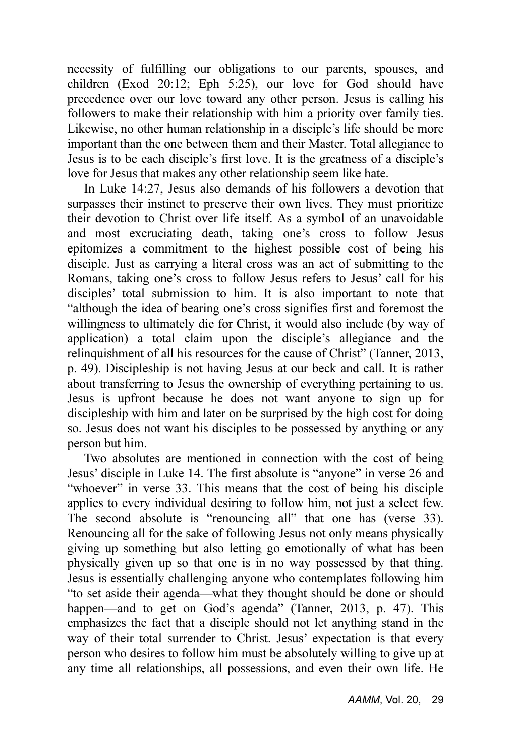necessity of fulfilling our obligations to our parents, spouses, and children (Exod 20:12; Eph 5:25), our love for God should have precedence over our love toward any other person. Jesus is calling his followers to make their relationship with him a priority over family ties. Likewise, no other human relationship in a disciple's life should be more important than the one between them and their Master. Total allegiance to Jesus is to be each disciple's first love. It is the greatness of a disciple's love for Jesus that makes any other relationship seem like hate.

In Luke 14:27, Jesus also demands of his followers a devotion that surpasses their instinct to preserve their own lives. They must prioritize their devotion to Christ over life itself. As a symbol of an unavoidable and most excruciating death, taking one's cross to follow Jesus epitomizes a commitment to the highest possible cost of being his disciple. Just as carrying a literal cross was an act of submitting to the Romans, taking one's cross to follow Jesus refers to Jesus' call for his disciples' total submission to him. It is also important to note that "although the idea of bearing one's cross signifies first and foremost the willingness to ultimately die for Christ, it would also include (by way of application) a total claim upon the disciple's allegiance and the relinquishment of all his resources for the cause of Christ" (Tanner, 2013, p. 49). Discipleship is not having Jesus at our beck and call. It is rather about transferring to Jesus the ownership of everything pertaining to us. Jesus is upfront because he does not want anyone to sign up for discipleship with him and later on be surprised by the high cost for doing so. Jesus does not want his disciples to be possessed by anything or any person but him.

Two absolutes are mentioned in connection with the cost of being Jesus' disciple in Luke 14. The first absolute is "anyone" in verse 26 and "whoever" in verse 33. This means that the cost of being his disciple applies to every individual desiring to follow him, not just a select few. The second absolute is "renouncing all" that one has (verse 33). Renouncing all for the sake of following Jesus not only means physically giving up something but also letting go emotionally of what has been physically given up so that one is in no way possessed by that thing. Jesus is essentially challenging anyone who contemplates following him "to set aside their agenda—what they thought should be done or should happen—and to get on God's agenda" (Tanner, 2013, p. 47). This emphasizes the fact that a disciple should not let anything stand in the way of their total surrender to Christ. Jesus' expectation is that every person who desires to follow him must be absolutely willing to give up at any time all relationships, all possessions, and even their own life. He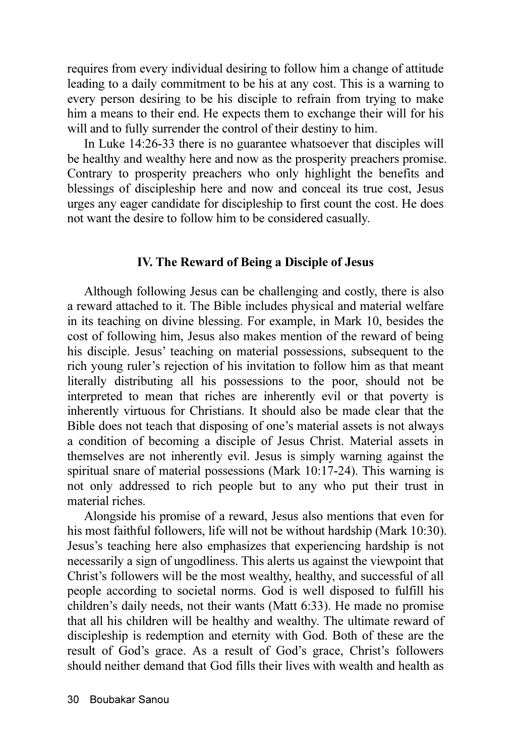requires from every individual desiring to follow him a change of attitude leading to a daily commitment to be his at any cost. This is a warning to every person desiring to be his disciple to refrain from trying to make him a means to their end. He expects them to exchange their will for his will and to fully surrender the control of their destiny to him.

In Luke 14:26-33 there is no guarantee whatsoever that disciples will be healthy and wealthy here and now as the prosperity preachers promise. Contrary to prosperity preachers who only highlight the benefits and blessings of discipleship here and now and conceal its true cost, Jesus urges any eager candidate for discipleship to first count the cost. He does not want the desire to follow him to be considered casually.

#### IV. The Reward of Being a Disciple of Jesus

Although following Jesus can be challenging and costly, there is also a reward attached to it. The Bible includes physical and material welfare in its teaching on divine blessing. For example, in Mark 10, besides the cost of following him, Jesus also makes mention of the reward of being his disciple. Jesus' teaching on material possessions, subsequent to the rich young ruler's rejection of his invitation to follow him as that meant literally distributing all his possessions to the poor, should not be interpreted to mean that riches are inherently evil or that poverty is inherently virtuous for Christians. It should also be made clear that the Bible does not teach that disposing of one's material assets is not always a condition of becoming a disciple of Jesus Christ. Material assets in themselves are not inherently evil. Jesus is simply warning against the spiritual snare of material possessions (Mark 10:17-24). This warning is not only addressed to rich people but to any who put their trust in material riches.

Alongside his promise of a reward, Jesus also mentions that even for his most faithful followers, life will not be without hardship (Mark 10:30). Jesus's teaching here also emphasizes that experiencing hardship is not necessarily a sign of ungodliness. This alerts us against the viewpoint that Christ's followers will be the most wealthy, healthy, and successful of all people according to societal norms. God is well disposed to fulfill his children's daily needs, not their wants (Matt 6:33). He made no promise that all his children will be healthy and wealthy. The ultimate reward of discipleship is redemption and eternity with God. Both of these are the result of God's grace. As a result of God's grace, Christ's followers should neither demand that God fills their lives with wealth and health as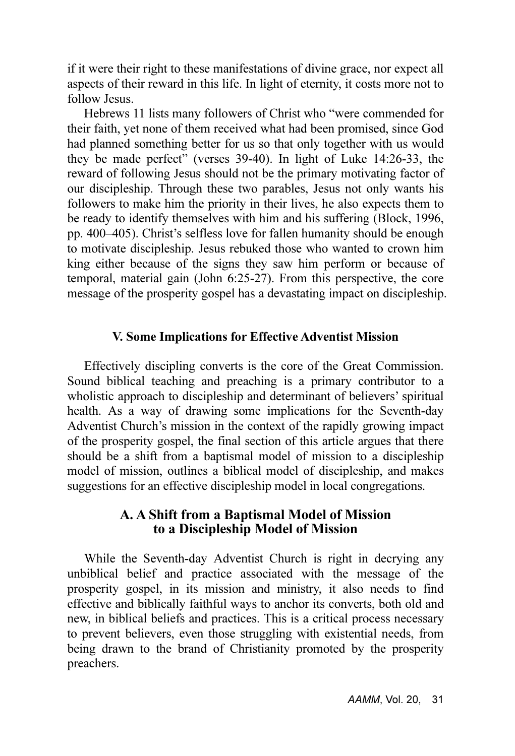if it were their right to these manifestations of divine grace, nor expect all aspects of their reward in this life. In light of eternity, it costs more not to follow Jesus.

Hebrews 11 lists many followers of Christ who "were commended for their faith, yet none of them received what had been promised, since God had planned something better for us so that only together with us would they be made perfect" (verses 39-40). In light of Luke 14:26-33, the reward of following Jesus should not be the primary motivating factor of our discipleship. Through these two parables, Jesus not only wants his followers to make him the priority in their lives, he also expects them to be ready to identify themselves with him and his suffering (Block, 1996, pp. 400–405). Christ's selfless love for fallen humanity should be enough to motivate discipleship. Jesus rebuked those who wanted to crown him king either because of the signs they saw him perform or because of temporal, material gain (John 6:25-27). From this perspective, the core message of the prosperity gospel has a devastating impact on discipleship.

#### V. Some Implications for Effective Adventist Mission

Effectively discipling converts is the core of the Great Commission. Sound biblical teaching and preaching is a primary contributor to a wholistic approach to discipleship and determinant of believers' spiritual health. As a way of drawing some implications for the Seventh-day Adventist Church's mission in the context of the rapidly growing impact of the prosperity gospel, the final section of this article argues that there should be a shift from a baptismal model of mission to a discipleship model of mission, outlines a biblical model of discipleship, and makes suggestions for an effective discipleship model in local congregations.

#### A. A Shift from a Baptismal Model of Mission to a Discipleship Model of Mission

While the Seventh-day Adventist Church is right in decrying any unbiblical belief and practice associated with the message of the prosperity gospel, in its mission and ministry, it also needs to find effective and biblically faithful ways to anchor its converts, both old and new, in biblical beliefs and practices. This is a critical process necessary to prevent believers, even those struggling with existential needs, from being drawn to the brand of Christianity promoted by the prosperity preachers.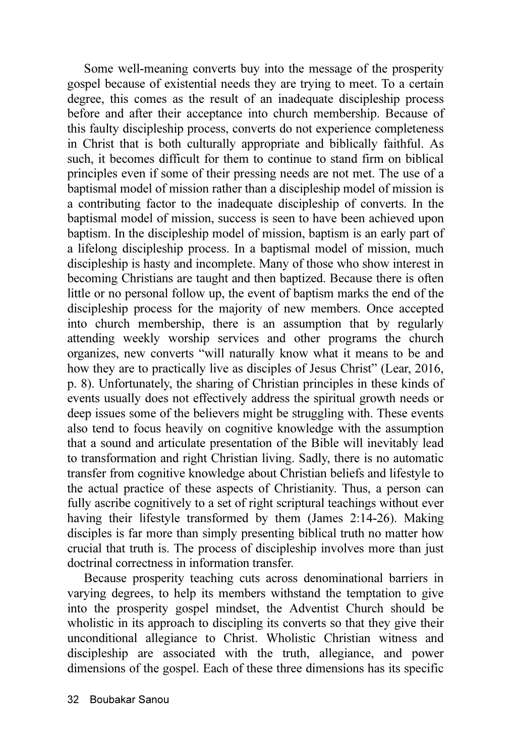Some well-meaning converts buy into the message of the prosperity gospel because of existential needs they are trying to meet. To a certain degree, this comes as the result of an inadequate discipleship process before and after their acceptance into church membership. Because of this faulty discipleship process, converts do not experience completeness in Christ that is both culturally appropriate and biblically faithful. As such, it becomes difficult for them to continue to stand firm on biblical principles even if some of their pressing needs are not met. The use of a baptismal model of mission rather than a discipleship model of mission is a contributing factor to the inadequate discipleship of converts. In the baptismal model of mission, success is seen to have been achieved upon baptism. In the discipleship model of mission, baptism is an early part of a lifelong discipleship process. In a baptismal model of mission, much discipleship is hasty and incomplete. Many of those who show interest in becoming Christians are taught and then baptized. Because there is often little or no personal follow up, the event of baptism marks the end of the discipleship process for the majority of new members. Once accepted into church membership, there is an assumption that by regularly attending weekly worship services and other programs the church organizes, new converts "will naturally know what it means to be and how they are to practically live as disciples of Jesus Christ" (Lear, 2016, p. 8). Unfortunately, the sharing of Christian principles in these kinds of events usually does not effectively address the spiritual growth needs or deep issues some of the believers might be struggling with. These events also tend to focus heavily on cognitive knowledge with the assumption that a sound and articulate presentation of the Bible will inevitably lead to transformation and right Christian living. Sadly, there is no automatic transfer from cognitive knowledge about Christian beliefs and lifestyle to the actual practice of these aspects of Christianity. Thus, a person can fully ascribe cognitively to a set of right scriptural teachings without ever having their lifestyle transformed by them (James 2:14-26). Making disciples is far more than simply presenting biblical truth no matter how crucial that truth is. The process of discipleship involves more than just doctrinal correctness in information transfer.

Because prosperity teaching cuts across denominational barriers in varying degrees, to help its members withstand the temptation to give into the prosperity gospel mindset, the Adventist Church should be wholistic in its approach to discipling its converts so that they give their unconditional allegiance to Christ. Wholistic Christian witness and discipleship are associated with the truth, allegiance, and power dimensions of the gospel. Each of these three dimensions has its specific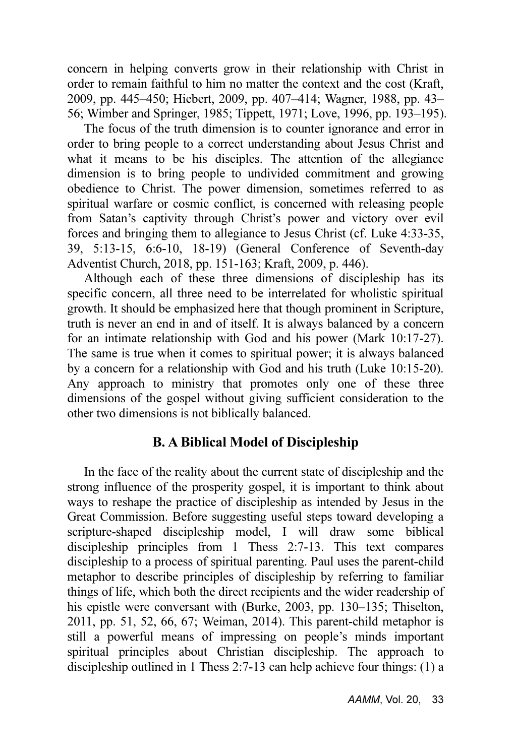concern in helping converts grow in their relationship with Christ in order to remain faithful to him no matter the context and the cost (Kraft, 2009, pp. 445–450; Hiebert, 2009, pp. 407–414; Wagner, 1988, pp. 43– 56; Wimber and Springer, 1985; Tippett, 1971; Love, 1996, pp. 193–195).

The focus of the truth dimension is to counter ignorance and error in order to bring people to a correct understanding about Jesus Christ and what it means to be his disciples. The attention of the allegiance dimension is to bring people to undivided commitment and growing obedience to Christ. The power dimension, sometimes referred to as spiritual warfare or cosmic conflict, is concerned with releasing people from Satan's captivity through Christ's power and victory over evil forces and bringing them to allegiance to Jesus Christ (cf. Luke 4:33-35, 39, 5:13-15, 6:6-10, 18-19) (General Conference of Seventh-day Adventist Church, 2018, pp. 151-163; Kraft, 2009, p. 446).

Although each of these three dimensions of discipleship has its specific concern, all three need to be interrelated for wholistic spiritual growth. It should be emphasized here that though prominent in Scripture, truth is never an end in and of itself. It is always balanced by a concern for an intimate relationship with God and his power (Mark 10:17-27). The same is true when it comes to spiritual power; it is always balanced by a concern for a relationship with God and his truth (Luke 10:15-20). Any approach to ministry that promotes only one of these three dimensions of the gospel without giving sufficient consideration to the other two dimensions is not biblically balanced.

#### B. A Biblical Model of Discipleship

In the face of the reality about the current state of discipleship and the strong influence of the prosperity gospel, it is important to think about ways to reshape the practice of discipleship as intended by Jesus in the Great Commission. Before suggesting useful steps toward developing a scripture-shaped discipleship model, I will draw some biblical discipleship principles from 1 Thess 2:7-13. This text compares discipleship to a process of spiritual parenting. Paul uses the parent-child metaphor to describe principles of discipleship by referring to familiar things of life, which both the direct recipients and the wider readership of his epistle were conversant with (Burke, 2003, pp. 130–135; Thiselton, 2011, pp. 51, 52, 66, 67; Weiman, 2014). This parent-child metaphor is still a powerful means of impressing on people's minds important spiritual principles about Christian discipleship. The approach to discipleship outlined in 1 Thess 2:7-13 can help achieve four things: (1) a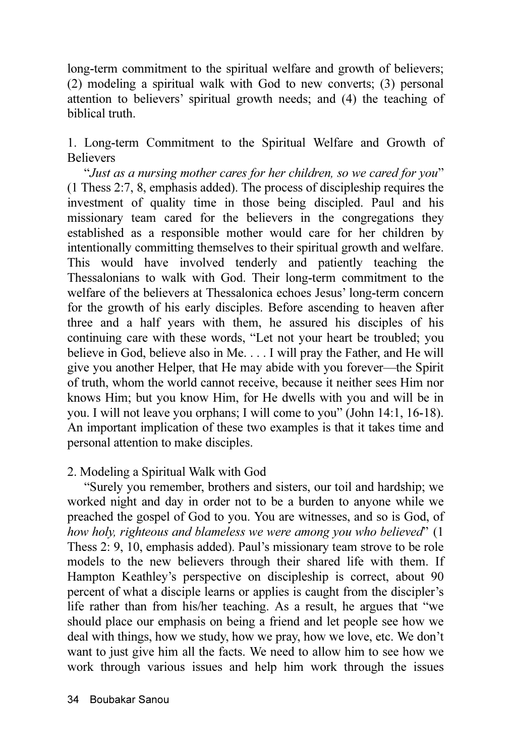long-term commitment to the spiritual welfare and growth of believers; (2) modeling a spiritual walk with God to new converts; (3) personal attention to believers' spiritual growth needs; and (4) the teaching of biblical truth.

1. Long-term Commitment to the Spiritual Welfare and Growth of **Believers** 

"Just as a nursing mother cares for her children, so we cared for you" (1 Thess 2:7, 8, emphasis added). The process of discipleship requires the investment of quality time in those being discipled. Paul and his missionary team cared for the believers in the congregations they established as a responsible mother would care for her children by intentionally committing themselves to their spiritual growth and welfare. This would have involved tenderly and patiently teaching the Thessalonians to walk with God. Their long-term commitment to the welfare of the believers at Thessalonica echoes Jesus' long-term concern for the growth of his early disciples. Before ascending to heaven after three and a half years with them, he assured his disciples of his continuing care with these words, "Let not your heart be troubled; you believe in God, believe also in Me. . . . I will pray the Father, and He will give you another Helper, that He may abide with you forever—the Spirit of truth, whom the world cannot receive, because it neither sees Him nor knows Him; but you know Him, for He dwells with you and will be in you. I will not leave you orphans; I will come to you" (John 14:1, 16-18). An important implication of these two examples is that it takes time and personal attention to make disciples.

#### 2. Modeling a Spiritual Walk with God

"Surely you remember, brothers and sisters, our toil and hardship; we worked night and day in order not to be a burden to anyone while we preached the gospel of God to you. You are witnesses, and so is God, of how holy, righteous and blameless we were among you who believed" (1) Thess 2: 9, 10, emphasis added). Paul's missionary team strove to be role models to the new believers through their shared life with them. If Hampton Keathley's perspective on discipleship is correct, about 90 percent of what a disciple learns or applies is caught from the discipler's life rather than from his/her teaching. As a result, he argues that "we should place our emphasis on being a friend and let people see how we deal with things, how we study, how we pray, how we love, etc. We don't want to just give him all the facts. We need to allow him to see how we work through various issues and help him work through the issues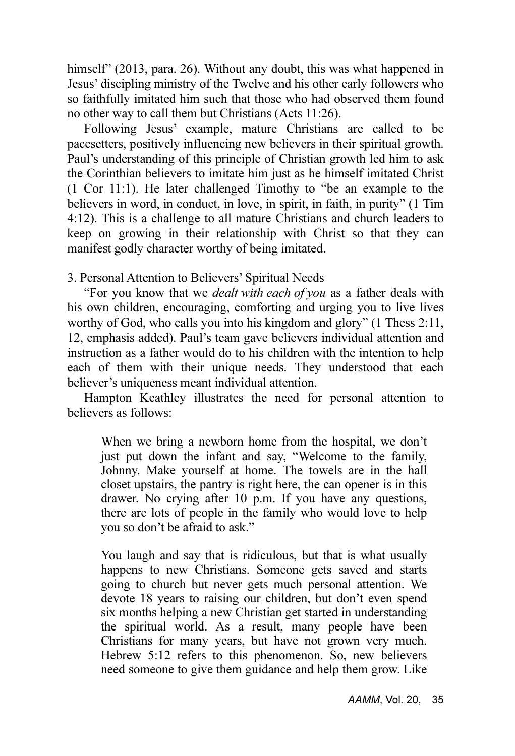himself" (2013, para. 26). Without any doubt, this was what happened in Jesus' discipling ministry of the Twelve and his other early followers who so faithfully imitated him such that those who had observed them found no other way to call them but Christians (Acts 11:26).

Following Jesus' example, mature Christians are called to be pacesetters, positively influencing new believers in their spiritual growth. Paul's understanding of this principle of Christian growth led him to ask the Corinthian believers to imitate him just as he himself imitated Christ (1 Cor 11:1). He later challenged Timothy to "be an example to the believers in word, in conduct, in love, in spirit, in faith, in purity" (1 Tim 4:12). This is a challenge to all mature Christians and church leaders to keep on growing in their relationship with Christ so that they can manifest godly character worthy of being imitated.

3. Personal Attention to Believers' Spiritual Needs

"For you know that we *dealt with each of you* as a father deals with his own children, encouraging, comforting and urging you to live lives worthy of God, who calls you into his kingdom and glory" (1 Thess 2:11, 12, emphasis added). Paul's team gave believers individual attention and instruction as a father would do to his children with the intention to help each of them with their unique needs. They understood that each believer's uniqueness meant individual attention.

Hampton Keathley illustrates the need for personal attention to believers as follows:

When we bring a newborn home from the hospital, we don't just put down the infant and say, "Welcome to the family, Johnny. Make yourself at home. The towels are in the hall closet upstairs, the pantry is right here, the can opener is in this drawer. No crying after 10 p.m. If you have any questions, there are lots of people in the family who would love to help you so don't be afraid to ask."

You laugh and say that is ridiculous, but that is what usually happens to new Christians. Someone gets saved and starts going to church but never gets much personal attention. We devote 18 years to raising our children, but don't even spend six months helping a new Christian get started in understanding the spiritual world. As a result, many people have been Christians for many years, but have not grown very much. Hebrew 5:12 refers to this phenomenon. So, new believers need someone to give them guidance and help them grow. Like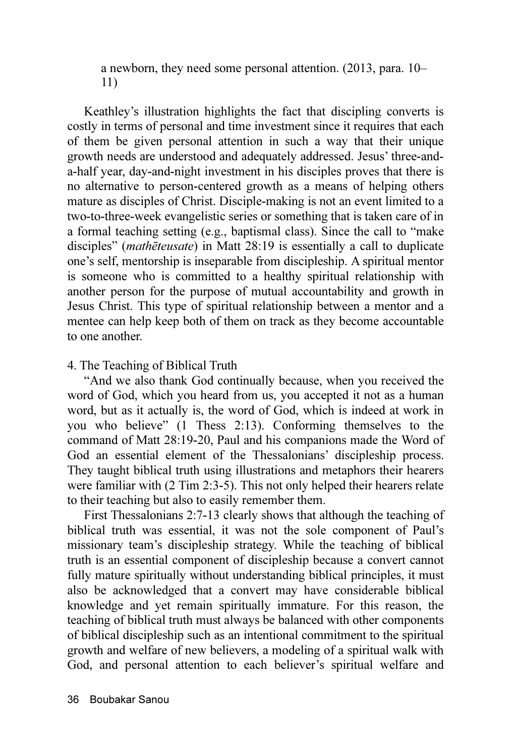a newborn, they need some personal attention. (2013, para. 10– 11)

Keathley's illustration highlights the fact that discipling converts is costly in terms of personal and time investment since it requires that each of them be given personal attention in such a way that their unique growth needs are understood and adequately addressed. Jesus' three-anda-half year, day-and-night investment in his disciples proves that there is no alternative to person-centered growth as a means of helping others mature as disciples of Christ. Disciple-making is not an event limited to a two-to-three-week evangelistic series or something that is taken care of in a formal teaching setting (e.g., baptismal class). Since the call to "make disciples" (*mathēteusate*) in Matt 28:19 is essentially a call to duplicate one's self, mentorship is inseparable from discipleship. A spiritual mentor is someone who is committed to a healthy spiritual relationship with another person for the purpose of mutual accountability and growth in Jesus Christ. This type of spiritual relationship between a mentor and a mentee can help keep both of them on track as they become accountable to one another.

#### 4. The Teaching of Biblical Truth

"And we also thank God continually because, when you received the word of God, which you heard from us, you accepted it not as a human word, but as it actually is, the word of God, which is indeed at work in you who believe" (1 Thess 2:13). Conforming themselves to the command of Matt 28:19-20, Paul and his companions made the Word of God an essential element of the Thessalonians' discipleship process. They taught biblical truth using illustrations and metaphors their hearers were familiar with (2 Tim 2:3-5). This not only helped their hearers relate to their teaching but also to easily remember them.

First Thessalonians 2:7-13 clearly shows that although the teaching of biblical truth was essential, it was not the sole component of Paul's missionary team's discipleship strategy. While the teaching of biblical truth is an essential component of discipleship because a convert cannot fully mature spiritually without understanding biblical principles, it must also be acknowledged that a convert may have considerable biblical knowledge and yet remain spiritually immature. For this reason, the teaching of biblical truth must always be balanced with other components of biblical discipleship such as an intentional commitment to the spiritual growth and welfare of new believers, a modeling of a spiritual walk with God, and personal attention to each believer's spiritual welfare and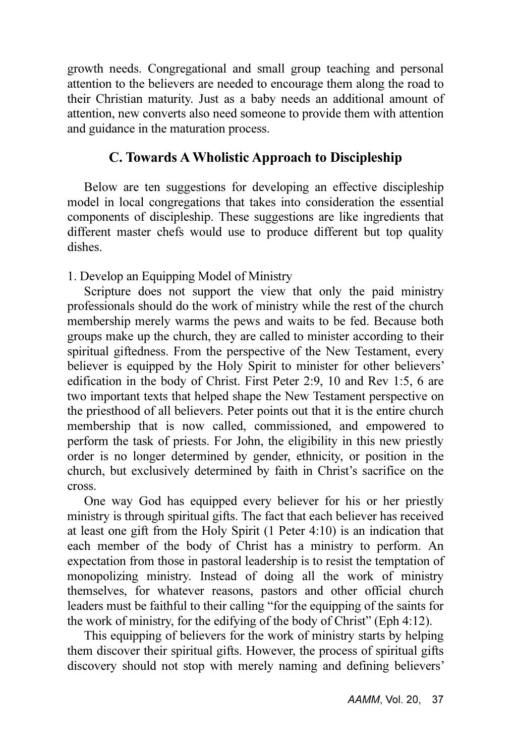growth needs. Congregational and small group teaching and personal attention to the believers are needed to encourage them along the road to their Christian maturity. Just as a baby needs an additional amount of attention, new converts also need someone to provide them with attention and guidance in the maturation process.

#### C. Towards A Wholistic Approach to Discipleship

Below are ten suggestions for developing an effective discipleship model in local congregations that takes into consideration the essential components of discipleship. These suggestions are like ingredients that different master chefs would use to produce different but top quality dishes.

1. Develop an Equipping Model of Ministry

Scripture does not support the view that only the paid ministry professionals should do the work of ministry while the rest of the church membership merely warms the pews and waits to be fed. Because both groups make up the church, they are called to minister according to their spiritual giftedness. From the perspective of the New Testament, every believer is equipped by the Holy Spirit to minister for other believers' edification in the body of Christ. First Peter 2:9, 10 and Rev 1:5, 6 are two important texts that helped shape the New Testament perspective on the priesthood of all believers. Peter points out that it is the entire church membership that is now called, commissioned, and empowered to perform the task of priests. For John, the eligibility in this new priestly order is no longer determined by gender, ethnicity, or position in the church, but exclusively determined by faith in Christ's sacrifice on the cross.

One way God has equipped every believer for his or her priestly ministry is through spiritual gifts. The fact that each believer has received at least one gift from the Holy Spirit (1 Peter 4:10) is an indication that each member of the body of Christ has a ministry to perform. An expectation from those in pastoral leadership is to resist the temptation of monopolizing ministry. Instead of doing all the work of ministry themselves, for whatever reasons, pastors and other official church leaders must be faithful to their calling "for the equipping of the saints for the work of ministry, for the edifying of the body of Christ" (Eph 4:12).

This equipping of believers for the work of ministry starts by helping them discover their spiritual gifts. However, the process of spiritual gifts discovery should not stop with merely naming and defining believers'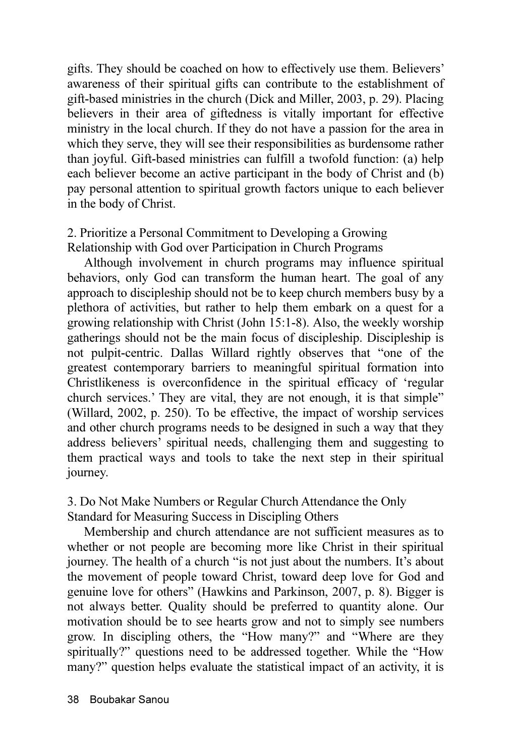gifts. They should be coached on how to effectively use them. Believers' awareness of their spiritual gifts can contribute to the establishment of gift-based ministries in the church (Dick and Miller, 2003, p. 29). Placing believers in their area of giftedness is vitally important for effective ministry in the local church. If they do not have a passion for the area in which they serve, they will see their responsibilities as burdensome rather than joyful. Gift-based ministries can fulfill a twofold function: (a) help each believer become an active participant in the body of Christ and (b) pay personal attention to spiritual growth factors unique to each believer in the body of Christ.

#### 2. Prioritize a Personal Commitment to Developing a Growing Relationship with God over Participation in Church Programs

Although involvement in church programs may influence spiritual behaviors, only God can transform the human heart. The goal of any approach to discipleship should not be to keep church members busy by a plethora of activities, but rather to help them embark on a quest for a growing relationship with Christ (John 15:1-8). Also, the weekly worship gatherings should not be the main focus of discipleship. Discipleship is not pulpit-centric. Dallas Willard rightly observes that "one of the greatest contemporary barriers to meaningful spiritual formation into Christlikeness is overconfidence in the spiritual efficacy of 'regular church services.' They are vital, they are not enough, it is that simple" (Willard, 2002, p. 250). To be effective, the impact of worship services and other church programs needs to be designed in such a way that they address believers' spiritual needs, challenging them and suggesting to them practical ways and tools to take the next step in their spiritual journey.

3. Do Not Make Numbers or Regular Church Attendance the Only Standard for Measuring Success in Discipling Others

Membership and church attendance are not sufficient measures as to whether or not people are becoming more like Christ in their spiritual journey. The health of a church "is not just about the numbers. It's about the movement of people toward Christ, toward deep love for God and genuine love for others" (Hawkins and Parkinson, 2007, p. 8). Bigger is not always better. Quality should be preferred to quantity alone. Our motivation should be to see hearts grow and not to simply see numbers grow. In discipling others, the "How many?" and "Where are they spiritually?" questions need to be addressed together. While the "How many?" question helps evaluate the statistical impact of an activity, it is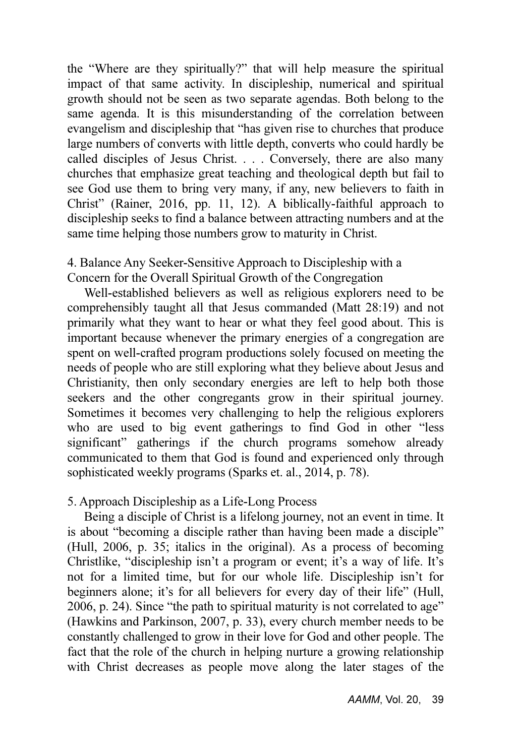the "Where are they spiritually?" that will help measure the spiritual impact of that same activity. In discipleship, numerical and spiritual growth should not be seen as two separate agendas. Both belong to the same agenda. It is this misunderstanding of the correlation between evangelism and discipleship that "has given rise to churches that produce large numbers of converts with little depth, converts who could hardly be called disciples of Jesus Christ. . . . Conversely, there are also many churches that emphasize great teaching and theological depth but fail to see God use them to bring very many, if any, new believers to faith in Christ" (Rainer, 2016, pp. 11, 12). A biblically-faithful approach to discipleship seeks to find a balance between attracting numbers and at the same time helping those numbers grow to maturity in Christ.

#### 4. Balance Any Seeker-Sensitive Approach to Discipleship with a Concern for the Overall Spiritual Growth of the Congregation

Well-established believers as well as religious explorers need to be comprehensibly taught all that Jesus commanded (Matt 28:19) and not primarily what they want to hear or what they feel good about. This is important because whenever the primary energies of a congregation are spent on well-crafted program productions solely focused on meeting the needs of people who are still exploring what they believe about Jesus and Christianity, then only secondary energies are left to help both those seekers and the other congregants grow in their spiritual journey. Sometimes it becomes very challenging to help the religious explorers who are used to big event gatherings to find God in other "less significant" gatherings if the church programs somehow already communicated to them that God is found and experienced only through sophisticated weekly programs (Sparks et. al., 2014, p. 78).

#### 5. Approach Discipleship as a Life-Long Process

Being a disciple of Christ is a lifelong journey, not an event in time. It is about "becoming a disciple rather than having been made a disciple" (Hull, 2006, p. 35; italics in the original). As a process of becoming Christlike, "discipleship isn't a program or event; it's a way of life. It's not for a limited time, but for our whole life. Discipleship isn't for beginners alone; it's for all believers for every day of their life" (Hull, 2006, p. 24). Since "the path to spiritual maturity is not correlated to age" (Hawkins and Parkinson, 2007, p. 33), every church member needs to be constantly challenged to grow in their love for God and other people. The fact that the role of the church in helping nurture a growing relationship with Christ decreases as people move along the later stages of the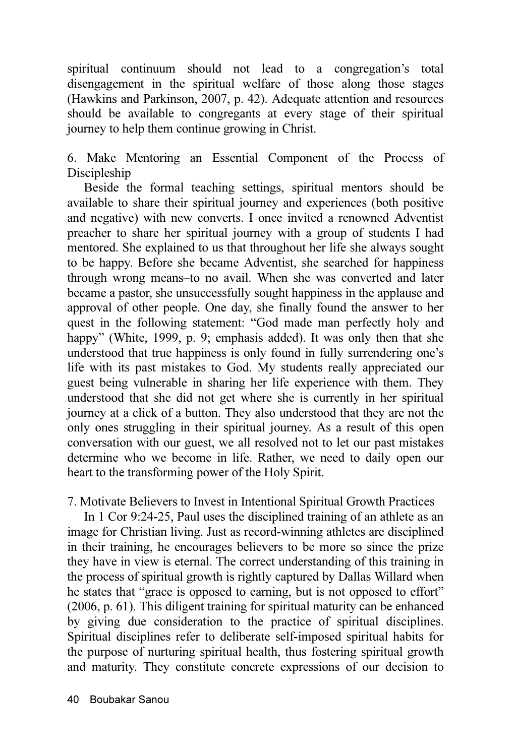spiritual continuum should not lead to a congregation's total disengagement in the spiritual welfare of those along those stages (Hawkins and Parkinson, 2007, p. 42). Adequate attention and resources should be available to congregants at every stage of their spiritual journey to help them continue growing in Christ.

6. Make Mentoring an Essential Component of the Process of **Discipleship** 

Beside the formal teaching settings, spiritual mentors should be available to share their spiritual journey and experiences (both positive and negative) with new converts. I once invited a renowned Adventist preacher to share her spiritual journey with a group of students I had mentored. She explained to us that throughout her life she always sought to be happy. Before she became Adventist, she searched for happiness through wrong means–to no avail. When she was converted and later became a pastor, she unsuccessfully sought happiness in the applause and approval of other people. One day, she finally found the answer to her quest in the following statement: "God made man perfectly holy and happy" (White, 1999, p. 9; emphasis added). It was only then that she understood that true happiness is only found in fully surrendering one's life with its past mistakes to God. My students really appreciated our guest being vulnerable in sharing her life experience with them. They understood that she did not get where she is currently in her spiritual journey at a click of a button. They also understood that they are not the only ones struggling in their spiritual journey. As a result of this open conversation with our guest, we all resolved not to let our past mistakes determine who we become in life. Rather, we need to daily open our heart to the transforming power of the Holy Spirit.

7. Motivate Believers to Invest in Intentional Spiritual Growth Practices

In 1 Cor 9:24-25, Paul uses the disciplined training of an athlete as an image for Christian living. Just as record-winning athletes are disciplined in their training, he encourages believers to be more so since the prize they have in view is eternal. The correct understanding of this training in the process of spiritual growth is rightly captured by Dallas Willard when he states that "grace is opposed to earning, but is not opposed to effort" (2006, p. 61). This diligent training for spiritual maturity can be enhanced by giving due consideration to the practice of spiritual disciplines. Spiritual disciplines refer to deliberate self-imposed spiritual habits for the purpose of nurturing spiritual health, thus fostering spiritual growth and maturity. They constitute concrete expressions of our decision to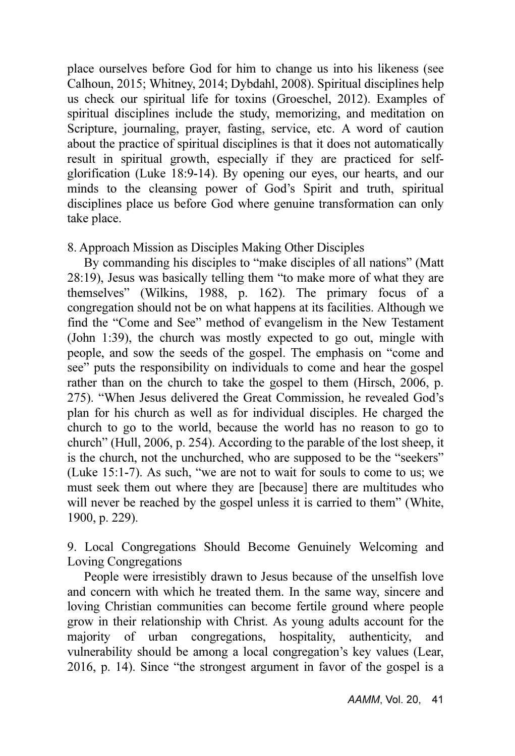place ourselves before God for him to change us into his likeness (see Calhoun, 2015; Whitney, 2014; Dybdahl, 2008). Spiritual disciplines help us check our spiritual life for toxins (Groeschel, 2012). Examples of spiritual disciplines include the study, memorizing, and meditation on Scripture, journaling, prayer, fasting, service, etc. A word of caution about the practice of spiritual disciplines is that it does not automatically result in spiritual growth, especially if they are practiced for selfglorification (Luke 18:9-14). By opening our eyes, our hearts, and our minds to the cleansing power of God's Spirit and truth, spiritual disciplines place us before God where genuine transformation can only take place.

#### 8. Approach Mission as Disciples Making Other Disciples

By commanding his disciples to "make disciples of all nations" (Matt 28:19), Jesus was basically telling them "to make more of what they are themselves" (Wilkins, 1988, p. 162). The primary focus of a congregation should not be on what happens at its facilities. Although we find the "Come and See" method of evangelism in the New Testament (John 1:39), the church was mostly expected to go out, mingle with people, and sow the seeds of the gospel. The emphasis on "come and see" puts the responsibility on individuals to come and hear the gospel rather than on the church to take the gospel to them (Hirsch, 2006, p. 275). "When Jesus delivered the Great Commission, he revealed God's plan for his church as well as for individual disciples. He charged the church to go to the world, because the world has no reason to go to church" (Hull, 2006, p. 254). According to the parable of the lost sheep, it is the church, not the unchurched, who are supposed to be the "seekers" (Luke 15:1-7). As such, "we are not to wait for souls to come to us; we must seek them out where they are [because] there are multitudes who will never be reached by the gospel unless it is carried to them" (White, 1900, p. 229).

9. Local Congregations Should Become Genuinely Welcoming and Loving Congregations

People were irresistibly drawn to Jesus because of the unselfish love and concern with which he treated them. In the same way, sincere and loving Christian communities can become fertile ground where people grow in their relationship with Christ. As young adults account for the majority of urban congregations, hospitality, authenticity, and vulnerability should be among a local congregation's key values (Lear, 2016, p. 14). Since "the strongest argument in favor of the gospel is a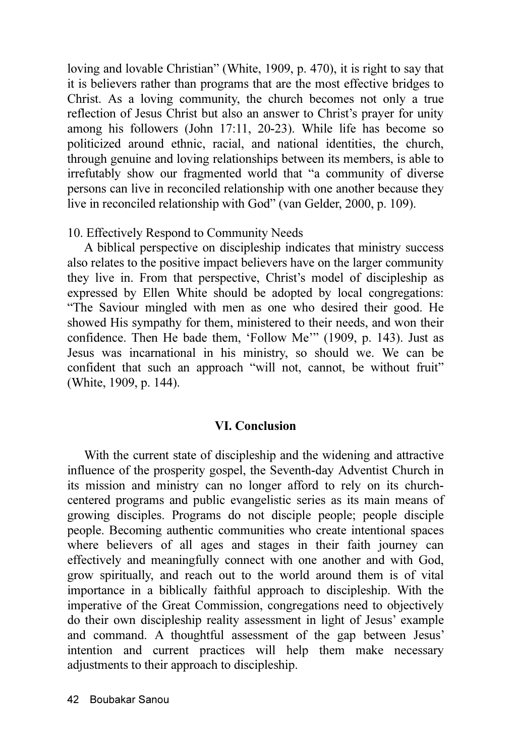loving and lovable Christian" (White, 1909, p. 470), it is right to say that it is believers rather than programs that are the most effective bridges to Christ. As a loving community, the church becomes not only a true reflection of Jesus Christ but also an answer to Christ's prayer for unity among his followers (John 17:11, 20-23). While life has become so politicized around ethnic, racial, and national identities, the church, through genuine and loving relationships between its members, is able to irrefutably show our fragmented world that "a community of diverse persons can live in reconciled relationship with one another because they live in reconciled relationship with God" (van Gelder, 2000, p. 109).

#### 10. Effectively Respond to Community Needs

A biblical perspective on discipleship indicates that ministry success also relates to the positive impact believers have on the larger community they live in. From that perspective, Christ's model of discipleship as expressed by Ellen White should be adopted by local congregations: "The Saviour mingled with men as one who desired their good. He showed His sympathy for them, ministered to their needs, and won their confidence. Then He bade them, 'Follow Me'" (1909, p. 143). Just as Jesus was incarnational in his ministry, so should we. We can be confident that such an approach "will not, cannot, be without fruit" (White, 1909, p. 144).

#### VI. Conclusion

With the current state of discipleship and the widening and attractive influence of the prosperity gospel, the Seventh-day Adventist Church in its mission and ministry can no longer afford to rely on its churchcentered programs and public evangelistic series as its main means of growing disciples. Programs do not disciple people; people disciple people. Becoming authentic communities who create intentional spaces where believers of all ages and stages in their faith journey can effectively and meaningfully connect with one another and with God, grow spiritually, and reach out to the world around them is of vital importance in a biblically faithful approach to discipleship. With the imperative of the Great Commission, congregations need to objectively do their own discipleship reality assessment in light of Jesus' example and command. A thoughtful assessment of the gap between Jesus' intention and current practices will help them make necessary adjustments to their approach to discipleship.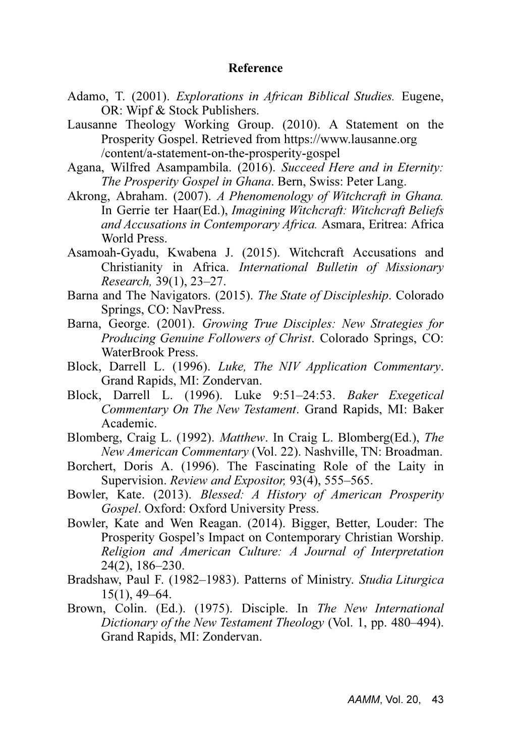#### Reference

- Adamo, T. (2001). *Explorations in African Biblical Studies*. Eugene, OR: Wipf & Stock Publishers.
- Lausanne Theology Working Group. (2010). A Statement on the Prosperity Gospel. Retrieved from https://www.lausanne.org /content/a-statement-on-the-prosperity-gospel
- Agana, Wilfred Asampambila. (2016). Succeed Here and in Eternity: The Prosperity Gospel in Ghana. Bern, Swiss: Peter Lang.
- Akrong, Abraham. (2007). A Phenomenology of Witchcraft in Ghana. In Gerrie ter Haar(Ed.), Imagining Witchcraft: Witchcraft Beliefs and Accusations in Contemporary Africa. Asmara, Eritrea: Africa World Press.
- Asamoah-Gyadu, Kwabena J. (2015). Witchcraft Accusations and Christianity in Africa. International Bulletin of Missionary Research, 39(1), 23–27.
- Barna and The Navigators. (2015). The State of Discipleship. Colorado Springs, CO: NavPress.
- Barna, George. (2001). Growing True Disciples: New Strategies for Producing Genuine Followers of Christ. Colorado Springs, CO: WaterBrook Press.
- Block, Darrell L. (1996). Luke, The NIV Application Commentary. Grand Rapids, MI: Zondervan.
- Block, Darrell L. (1996). Luke 9:51–24:53. Baker Exegetical Commentary On The New Testament. Grand Rapids, MI: Baker Academic.
- Blomberg, Craig L. (1992). Matthew. In Craig L. Blomberg(Ed.), The New American Commentary (Vol. 22). Nashville, TN: Broadman.
- Borchert, Doris A. (1996). The Fascinating Role of the Laity in Supervision. Review and Expositor, 93(4), 555–565.
- Bowler, Kate. (2013). Blessed: A History of American Prosperity Gospel. Oxford: Oxford University Press.
- Bowler, Kate and Wen Reagan. (2014). Bigger, Better, Louder: The Prosperity Gospel's Impact on Contemporary Christian Worship. Religion and American Culture: A Journal of Interpretation 24(2), 186–230.
- Bradshaw, Paul F. (1982–1983). Patterns of Ministry. Studia Liturgica 15(1), 49–64.
- Brown, Colin. (Ed.). (1975). Disciple. In The New International Dictionary of the New Testament Theology (Vol. 1, pp. 480–494). Grand Rapids, MI: Zondervan.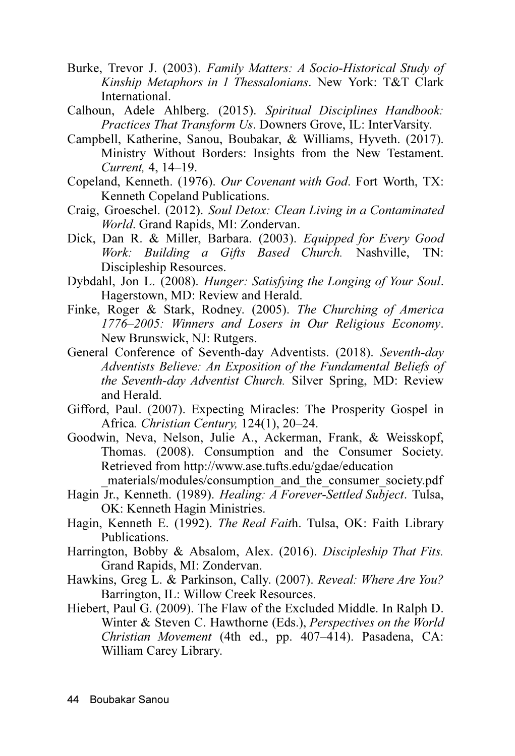- Burke, Trevor J. (2003). Family Matters: A Socio-Historical Study of Kinship Metaphors in 1 Thessalonians. New York: T&T Clark International.
- Calhoun, Adele Ahlberg. (2015). Spiritual Disciplines Handbook: Practices That Transform Us. Downers Grove, IL: InterVarsity.
- Campbell, Katherine, Sanou, Boubakar, & Williams, Hyveth. (2017). Ministry Without Borders: Insights from the New Testament. Current, 4, 14–19.
- Copeland, Kenneth. (1976). Our Covenant with God. Fort Worth, TX: Kenneth Copeland Publications.
- Craig, Groeschel. (2012). Soul Detox: Clean Living in a Contaminated World. Grand Rapids, MI: Zondervan.
- Dick, Dan R. & Miller, Barbara. (2003). Equipped for Every Good Work: Building  $\alpha$  Gifts Based Church. Nashville, TN: Discipleship Resources.
- Dybdahl, Jon L. (2008). Hunger: Satisfying the Longing of Your Soul. Hagerstown, MD: Review and Herald.
- Finke, Roger & Stark, Rodney. (2005). The Churching of America 1776–2005: Winners and Losers in Our Religious Economy. New Brunswick, NJ: Rutgers.
- General Conference of Seventh-day Adventists. (2018). Seventh-day Adventists Believe: An Exposition of the Fundamental Beliefs of the Seventh-day Adventist Church. Silver Spring, MD: Review and Herald.
- Gifford, Paul. (2007). Expecting Miracles: The Prosperity Gospel in Africa. Christian Century, 124(1), 20–24.
- Goodwin, Neva, Nelson, Julie A., Ackerman, Frank, & Weisskopf, Thomas. (2008). Consumption and the Consumer Society. Retrieved from http://www.ase.tufts.edu/gdae/education materials/modules/consumption\_and\_the\_consumer\_society.pdf
- Hagin Jr., Kenneth. (1989). *Healing: A Forever-Settled Subject*. Tulsa, OK: Kenneth Hagin Ministries.
- Hagin, Kenneth E. (1992). The Real Faith. Tulsa, OK: Faith Library Publications.
- Harrington, Bobby & Absalom, Alex. (2016). Discipleship That Fits. Grand Rapids, MI: Zondervan.
- Hawkins, Greg L. & Parkinson, Cally. (2007). Reveal: Where Are You? Barrington, IL: Willow Creek Resources.
- Hiebert, Paul G. (2009). The Flaw of the Excluded Middle. In Ralph D. Winter & Steven C. Hawthorne (Eds.), Perspectives on the World Christian Movement (4th ed., pp. 407–414). Pasadena, CA: William Carey Library.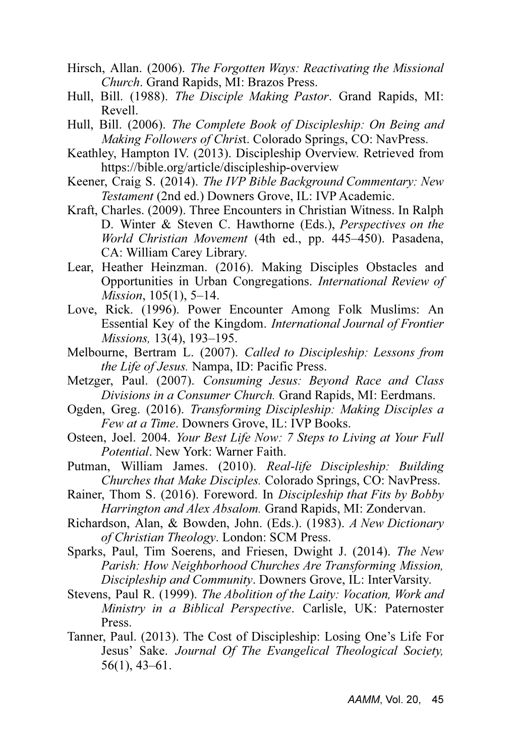- Hirsch, Allan. (2006). The Forgotten Ways: Reactivating the Missional Church. Grand Rapids, MI: Brazos Press.
- Hull, Bill. (1988). The Disciple Making Pastor. Grand Rapids, MI: Revell.
- Hull, Bill. (2006). The Complete Book of Discipleship: On Being and Making Followers of Christ. Colorado Springs, CO: NavPress.
- Keathley, Hampton IV. (2013). Discipleship Overview. Retrieved from https://bible.org/article/discipleship-overview
- Keener, Craig S. (2014). The IVP Bible Background Commentary: New Testament (2nd ed.) Downers Grove, IL: IVP Academic.
- Kraft, Charles. (2009). Three Encounters in Christian Witness. In Ralph D. Winter & Steven C. Hawthorne (Eds.), Perspectives on the World Christian Movement (4th ed., pp. 445–450). Pasadena, CA: William Carey Library.
- Lear, Heather Heinzman. (2016). Making Disciples Obstacles and Opportunities in Urban Congregations. International Review of Mission, 105(1), 5–14.
- Love, Rick. (1996). Power Encounter Among Folk Muslims: An Essential Key of the Kingdom. International Journal of Frontier Missions, 13(4), 193–195.
- Melbourne, Bertram L. (2007). Called to Discipleship: Lessons from the Life of Jesus. Nampa, ID: Pacific Press.
- Metzger, Paul. (2007). Consuming Jesus: Beyond Race and Class Divisions in a Consumer Church. Grand Rapids, MI: Eerdmans.
- Ogden, Greg. (2016). Transforming Discipleship: Making Disciples a Few at a Time. Downers Grove, IL: IVP Books.
- Osteen, Joel. 2004. Your Best Life Now: 7 Steps to Living at Your Full Potential. New York: Warner Faith.
- Putman, William James. (2010). Real-life Discipleship: Building Churches that Make Disciples. Colorado Springs, CO: NavPress.
- Rainer, Thom S. (2016). Foreword. In Discipleship that Fits by Bobby Harrington and Alex Absalom. Grand Rapids, MI: Zondervan.
- Richardson, Alan, & Bowden, John. (Eds.). (1983). A New Dictionary of Christian Theology. London: SCM Press.
- Sparks, Paul, Tim Soerens, and Friesen, Dwight J. (2014). The New Parish: How Neighborhood Churches Are Transforming Mission, Discipleship and Community. Downers Grove, IL: InterVarsity.
- Stevens, Paul R. (1999). The Abolition of the Laity: Vocation, Work and Ministry in a Biblical Perspective. Carlisle, UK: Paternoster Press.
- Tanner, Paul. (2013). The Cost of Discipleship: Losing One's Life For Jesus' Sake. Journal Of The Evangelical Theological Society, 56(1), 43–61.